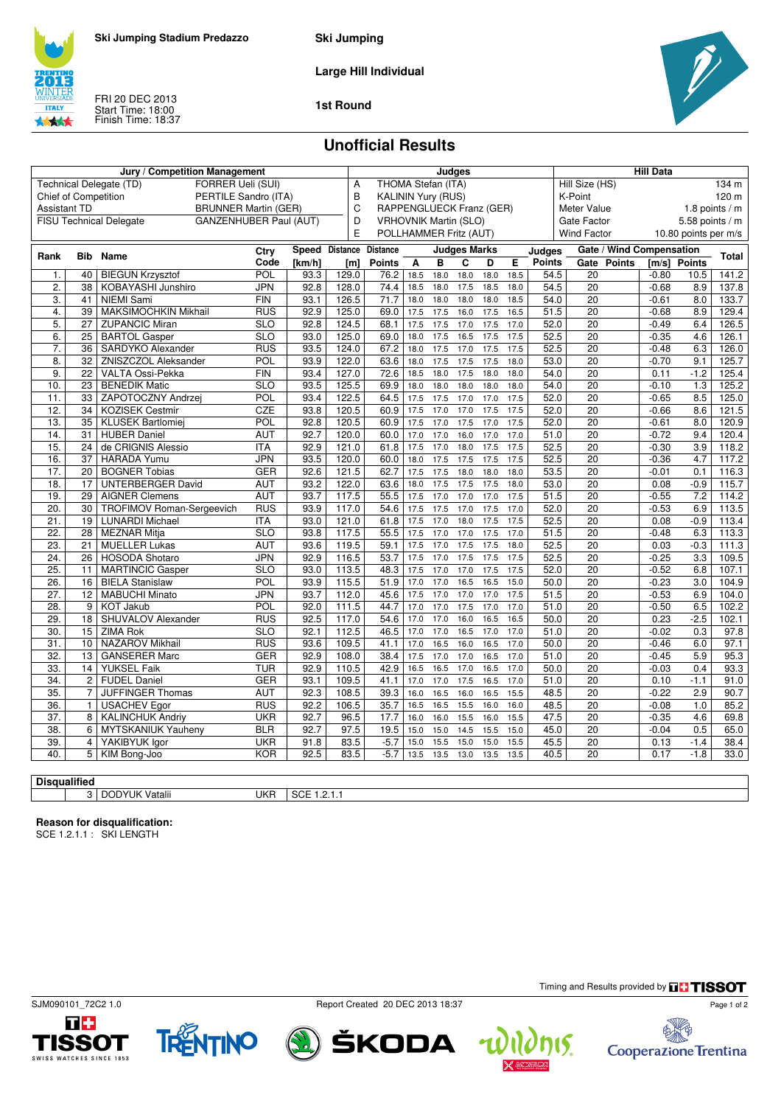

**Ski Jumping**

**Large Hill Individual**

FRI 20 DEC 2013 Start Time: 18:00 Finish Time: 18:37

**ITALY** 林林



### **1st Round**

## **Unofficial Results**

| <b>FORRER Ueli (SUI)</b><br>THOMA Stefan (ITA)<br>Technical Delegate (TD)<br>A<br>Hill Size (HS)<br>134 m<br>B<br><b>Chief of Competition</b><br>PERTILE Sandro (ITA)<br><b>KALININ Yury (RUS)</b><br>K-Point<br>120 m<br>C<br><b>Assistant TD</b><br><b>BRUNNER Martin (GER)</b><br>RAPPENGLUECK Franz (GER)<br>Meter Value<br>1.8 points $/m$<br><b>FISU Technical Delegate</b><br><b>GANZENHUBER Paul (AUT)</b><br>D<br><b>VRHOVNIK Martin (SLO)</b><br>Gate Factor<br>$5.58$ points / m<br>E<br>POLLHAMMER Fritz (AUT)<br><b>Wind Factor</b><br>10.80 points per m/s<br>Gate / Wind Compensation<br>Speed Distance Distance<br><b>Judges Marks</b><br>Ctry<br>Judges<br><b>Bib</b><br>Name<br><b>Total</b><br>Rank<br>E<br><b>Points</b><br>Gate<br>Code<br>В<br>C<br><b>Points</b><br><b>Points</b><br>[km/h]<br>[ml]<br><b>Points</b><br>Α<br>D<br>[m/s]<br><b>BIEGUN Krzysztof</b><br>POL<br>93.3<br>76.2<br>18.0<br>54.5<br>$\overline{20}$<br>141.2<br>40<br>129.0<br>18.5<br>18.0<br>18.0<br>18.5<br>$-0.80$<br>10.5<br>1.<br>$\overline{20}$<br>2.<br>38<br>KOBAYASHI Junshiro<br><b>JPN</b><br>92.8<br>128.0<br>74.4<br>17.5<br>54.5<br>$-0.68$<br>137.8<br>18.5<br>18.0<br>18.5<br>18.0<br>8.9<br>$\overline{20}$<br>3.<br><b>NIEMI Sami</b><br>93.1<br>126.5<br>71.7<br>18.0<br>18.0<br>18.0<br>54.0<br>$-0.61$<br>8.0<br>133.7<br>41<br><b>FIN</b><br>18.0<br>18.5<br>$\overline{20}$<br>4.<br>39<br>MAKSIMOCHKIN Mikhail<br><b>RUS</b><br>92.9<br>125.0<br>17.5<br>16.0<br>17.5<br>16.5<br>51.5<br>8.9<br>129.4<br>69.0<br>17.5<br>$-0.68$<br>5.<br>$\overline{20}$<br>27<br><b>ZUPANCIC Miran</b><br>SLO<br>92.8<br>124.5<br>17.5<br>17.0<br>17.5<br>52.0<br>$-0.49$<br>6.4<br>126.5<br>68.1<br>17.5<br>17.0<br>6.<br><b>BARTOL Gasper</b><br>$\overline{\text{SLO}}$<br>93.0<br>125.0<br>20<br>126.1<br>25<br>69.0<br>17.5<br>16.5<br>17.5<br>17.5<br>52.5<br>$-0.35$<br>4.6<br>18.0<br>$\overline{7}$ .<br><b>SARDYKO Alexander</b><br><b>RUS</b><br>93.5<br>124.0<br>67.2<br>52.5<br>20<br>$-0.48$<br>6.3<br>126.0<br>36<br>17.5<br>17.0<br>17.5<br>17.5<br>18.0<br>8.<br>32<br><b>ZNISZCZOL Aleksander</b><br><b>POL</b><br>93.9<br>122.0<br>17.5<br>53.0<br>20<br>$-0.70$<br>125.7<br>63.6<br>17.5<br>17.5<br>18.0<br>9.1<br>18.0<br>$\overline{9}$ .<br>93.4<br>127.0<br>72.6<br>54.0<br>$\overline{20}$<br>0.11<br>$-1.2$<br>125.4<br>22<br>VALTA Ossi-Pekka<br><b>FIN</b><br>18.0<br>17.5<br>18.0<br>18.5<br>18.0<br>$\overline{23}$<br><b>BENEDIK Matic</b><br>$\overline{\text{SLO}}$<br>$\overline{20}$<br>125.2<br>10.<br>93.5<br>125.5<br>69.9<br>18.0<br>18.0<br>18.0<br>54.0<br>$-0.10$<br>1.3<br>18.0<br>18.0<br>ZAPOTOCZNY Andrzej<br>POL<br>93.4<br>122.5<br>52.0<br>$\overline{20}$<br>$-0.65$<br>125.0<br>11.<br>33<br>64.5<br>17.5<br>17.0<br>17.0<br>17.5<br>8.5<br>17.5<br>$\overline{12}$ .<br>$\overline{34}$<br><b>KOZISEK Cestmir</b><br>CZE<br>17.0<br>17.0<br>$\overline{20}$<br>121.5<br>93.8<br>120.5<br>60.9<br>17.5<br>17.5<br>17.5<br>52.0<br>$-0.66$<br>8.6<br>$\overline{13}$ .<br>92.8<br>120.5<br>52.0<br>$\overline{20}$<br>$-0.61$<br>120.9<br>35<br><b>KLUSEK Bartlomiei</b><br>POL<br>60.9<br>17.0<br>17.5<br>17.0<br>8.0<br>17.5<br>17.5<br>14.<br><b>AUT</b><br>92.7<br>$\overline{20}$<br>$-0.72$<br>120.4<br>31<br><b>HUBER Daniel</b><br>120.0<br>60.0<br>17.0<br>16.0<br>17.0<br>17.0<br>51.0<br>9.4<br>17.0<br>$\overline{15}$<br><b>ITA</b><br>121.0<br>52.5<br>$\overline{20}$<br>$-0.30$<br>118.2<br>24<br>de CRIGNIS Alessio<br>92.9<br>61.8<br>17.0<br>18.0<br>17.5<br>3.9<br>17.5<br>17.5<br>16.<br><b>HARADA Yumu</b><br>17.5<br>17.5<br>17.5<br>$\overline{20}$<br>117.2<br>37<br><b>JPN</b><br>93.5<br>120.0<br>60.0<br>18.0<br>17.5<br>52.5<br>$-0.36$<br>4.7<br>17.<br><b>BOGNER Tobias</b><br>17.5<br>18.0<br>$\overline{20}$<br>$-0.01$<br>20<br><b>GER</b><br>92.6<br>121.5<br>62.7<br>17.5<br>18.0<br>18.0<br>53.5<br>0.1<br>116.3<br>17.5<br>17.5<br>17.5<br>$\overline{20}$<br>115.7<br>18.<br>17<br><b>UNTERBERGER David</b><br><b>AUT</b><br>93.2<br>122.0<br>63.6<br>18.0<br>18.0<br>53.0<br>0.08<br>$-0.9$<br>19.<br><b>AUT</b><br>117.5<br>17.0<br>17.0<br>17.0<br>$\overline{20}$<br>7.2<br>29<br><b>AIGNER Clemens</b><br>93.7<br>55.5<br>17.5<br>17.5<br>51.5<br>$-0.55$<br>114.2<br>117.0<br>17.5<br>17.0<br>17.5<br>17.0<br>$\overline{20}$<br>20.<br>30<br><b>TROFIMOV Roman-Sergeevich</b><br><b>RUS</b><br>93.9<br>54.6<br>17.5<br>52.0<br>$-0.53$<br>6.9<br>113.5<br>21.<br>17.0<br>18.0<br>17.5<br>$\overline{20}$<br>19<br><b>LUNARDI Michael</b><br><b>ITA</b><br>93.0<br>121.0<br>61.8<br>17.5<br>17.5<br>52.5<br>0.08<br>$-0.9$<br>113.4<br>17.0<br>17.0<br>17.5<br>$\overline{20}$<br>22.<br>28<br><b>MEZNAR Mitja</b><br><b>SLO</b><br>93.8<br>117.5<br>55.5<br>17.5<br>17.0<br>51.5<br>$-0.48$<br>6.3<br>113.3<br>$\overline{23}$ .<br>17.0<br>17.5<br>17.5<br>$\overline{20}$<br>0.03<br>21<br><b>MUELLER Lukas</b><br><b>AUT</b><br>93.6<br>119.5<br>59.1<br>17.5<br>18.0<br>52.5<br>$-0.3$<br>111.3<br>17.0<br>17.5<br>$\overline{20}$<br>24.<br>26<br><b>HOSODA Shotaro</b><br><b>JPN</b><br>92.9<br>116.5<br>53.7<br>17.5<br>17.5<br>17.5<br>52.5<br>$-0.25$<br>3.3<br>109.5<br>$\overline{25}$<br>17.0<br>17.0<br>$\overline{20}$<br><b>MARTINCIC Gasper</b><br><b>SLO</b><br>93.0<br>113.5<br>48.3<br>17.5<br>17.5<br>17.5<br>52.0<br>$-0.52$<br>6.8<br>107.1<br>11<br>17.0<br>$\overline{20}$<br>26.<br>16<br><b>BIELA Stanislaw</b><br>POL<br>93.9<br>115.5<br>51.9<br>17.0<br>16.5<br>16.5<br>15.0<br>50.0<br>$-0.23$<br>3.0<br>104.9<br>$\overline{27}$ .<br>17.0<br>17.0<br>$\overline{20}$<br><b>MABUCHI Minato</b><br><b>JPN</b><br>93.7<br>112.0<br>45.6<br>17.5<br>17.0<br>17.5<br>51.5<br>$-0.53$<br>6.9<br>104.0<br>12<br>$\overline{28}$ .<br><b>POL</b><br>92.0<br>111.5<br>17.0<br>17.5<br>20<br>6.5<br>102.2<br>9<br><b>KOT Jakub</b><br>44.7<br>17.0<br>17.0<br>17.0<br>51.0<br>$-0.50$<br>29.<br><b>SHUVALOV Alexander</b><br><b>RUS</b><br>92.5<br>117.0<br>54.6<br>17.0<br>16.0<br>50.0<br>20<br>0.23<br>$-2.5$<br>102.1<br>18<br>17.0<br>16.5<br>16.5<br>30.<br><b>ZIMA Rok</b><br>$\overline{\text{SLO}}$<br>92.1<br>112.5<br>17.0<br>51.0<br>20<br>$-0.02$<br>0.3<br>97.8<br>15<br>46.5<br>17.0<br>16.5<br>17.0<br>17.0 |
|---------------------------------------------------------------------------------------------------------------------------------------------------------------------------------------------------------------------------------------------------------------------------------------------------------------------------------------------------------------------------------------------------------------------------------------------------------------------------------------------------------------------------------------------------------------------------------------------------------------------------------------------------------------------------------------------------------------------------------------------------------------------------------------------------------------------------------------------------------------------------------------------------------------------------------------------------------------------------------------------------------------------------------------------------------------------------------------------------------------------------------------------------------------------------------------------------------------------------------------------------------------------------------------------------------------------------------------------------------------------------------------------------------------------------------------------------------------------------------------------------------------------------------------------------------------------------------------------------------------------------------------------------------------------------------------------------------------------------------------------------------------------------------------------------------------------------------------------------------------------------------------------------------------------------------------------------------------------------------------------------------------------------------------------------------------------------------------------------------------------------------------------------------------------------------------------------------------------------------------------------------------------------------------------------------------------------------------------------------------------------------------------------------------------------------------------------------------------------------------------------------------------------------------------------------------------------------------------------------------------------------------------------------------------------------------------------------------------------------------------------------------------------------------------------------------------------------------------------------------------------------------------------------------------------------------------------------------------------------------------------------------------------------------------------------------------------------------------------------------------------------------------------------------------------------------------------------------------------------------------------------------------------------------------------------------------------------------------------------------------------------------------------------------------------------------------------------------------------------------------------------------------------------------------------------------------------------------------------------------------------------------------------------------------------------------------------------------------------------------------------------------------------------------------------------------------------------------------------------------------------------------------------------------------------------------------------------------------------------------------------------------------------------------------------------------------------------------------------------------------------------------------------------------------------------------------------------------------------------------------------------------------------------------------------------------------------------------------------------------------------------------------------------------------------------------------------------------------------------------------------------------------------------------------------------------------------------------------------------------------------------------------------------------------------------------------------------------------------------------------------------------------------------------------------------------------------------------------------------------------------------------------------------------------------------------------------------------------------------------------------------------------------------------------------------------------------------------------------------------------------------------------------------------------------------------------------------------------------------------------------------------------------------------------------------------------------------------------------------------------------------------------------------------------------------------------------------------------------------------------------------------------------------------------------------------------------------------------------------------------------------------------------------------------------------------------------------------------------------------------------------------------------------------------------------------------------------------------------------------------------------------------------------------------------------------------------------------------------------------------------------------------------------------------------------------------------------------------------------------------------------------------------------------------------------------------------------------------------------------------------------------|
|                                                                                                                                                                                                                                                                                                                                                                                                                                                                                                                                                                                                                                                                                                                                                                                                                                                                                                                                                                                                                                                                                                                                                                                                                                                                                                                                                                                                                                                                                                                                                                                                                                                                                                                                                                                                                                                                                                                                                                                                                                                                                                                                                                                                                                                                                                                                                                                                                                                                                                                                                                                                                                                                                                                                                                                                                                                                                                                                                                                                                                                                                                                                                                                                                                                                                                                                                                                                                                                                                                                                                                                                                                                                                                                                                                                                                                                                                                                                                                                                                                                                                                                                                                                                                                                                                                                                                                                                                                                                                                                                                                                                                                                                                                                                                                                                                                                                                                                                                                                                                                                                                                                                                                                                                                                                                                                                                                                                                                                                                                                                                                                                                                                                                                                                                                                                                                                                                                                                                                                                                                                                                                                                                                                                                                                               |
|                                                                                                                                                                                                                                                                                                                                                                                                                                                                                                                                                                                                                                                                                                                                                                                                                                                                                                                                                                                                                                                                                                                                                                                                                                                                                                                                                                                                                                                                                                                                                                                                                                                                                                                                                                                                                                                                                                                                                                                                                                                                                                                                                                                                                                                                                                                                                                                                                                                                                                                                                                                                                                                                                                                                                                                                                                                                                                                                                                                                                                                                                                                                                                                                                                                                                                                                                                                                                                                                                                                                                                                                                                                                                                                                                                                                                                                                                                                                                                                                                                                                                                                                                                                                                                                                                                                                                                                                                                                                                                                                                                                                                                                                                                                                                                                                                                                                                                                                                                                                                                                                                                                                                                                                                                                                                                                                                                                                                                                                                                                                                                                                                                                                                                                                                                                                                                                                                                                                                                                                                                                                                                                                                                                                                                                               |
|                                                                                                                                                                                                                                                                                                                                                                                                                                                                                                                                                                                                                                                                                                                                                                                                                                                                                                                                                                                                                                                                                                                                                                                                                                                                                                                                                                                                                                                                                                                                                                                                                                                                                                                                                                                                                                                                                                                                                                                                                                                                                                                                                                                                                                                                                                                                                                                                                                                                                                                                                                                                                                                                                                                                                                                                                                                                                                                                                                                                                                                                                                                                                                                                                                                                                                                                                                                                                                                                                                                                                                                                                                                                                                                                                                                                                                                                                                                                                                                                                                                                                                                                                                                                                                                                                                                                                                                                                                                                                                                                                                                                                                                                                                                                                                                                                                                                                                                                                                                                                                                                                                                                                                                                                                                                                                                                                                                                                                                                                                                                                                                                                                                                                                                                                                                                                                                                                                                                                                                                                                                                                                                                                                                                                                                               |
|                                                                                                                                                                                                                                                                                                                                                                                                                                                                                                                                                                                                                                                                                                                                                                                                                                                                                                                                                                                                                                                                                                                                                                                                                                                                                                                                                                                                                                                                                                                                                                                                                                                                                                                                                                                                                                                                                                                                                                                                                                                                                                                                                                                                                                                                                                                                                                                                                                                                                                                                                                                                                                                                                                                                                                                                                                                                                                                                                                                                                                                                                                                                                                                                                                                                                                                                                                                                                                                                                                                                                                                                                                                                                                                                                                                                                                                                                                                                                                                                                                                                                                                                                                                                                                                                                                                                                                                                                                                                                                                                                                                                                                                                                                                                                                                                                                                                                                                                                                                                                                                                                                                                                                                                                                                                                                                                                                                                                                                                                                                                                                                                                                                                                                                                                                                                                                                                                                                                                                                                                                                                                                                                                                                                                                                               |
|                                                                                                                                                                                                                                                                                                                                                                                                                                                                                                                                                                                                                                                                                                                                                                                                                                                                                                                                                                                                                                                                                                                                                                                                                                                                                                                                                                                                                                                                                                                                                                                                                                                                                                                                                                                                                                                                                                                                                                                                                                                                                                                                                                                                                                                                                                                                                                                                                                                                                                                                                                                                                                                                                                                                                                                                                                                                                                                                                                                                                                                                                                                                                                                                                                                                                                                                                                                                                                                                                                                                                                                                                                                                                                                                                                                                                                                                                                                                                                                                                                                                                                                                                                                                                                                                                                                                                                                                                                                                                                                                                                                                                                                                                                                                                                                                                                                                                                                                                                                                                                                                                                                                                                                                                                                                                                                                                                                                                                                                                                                                                                                                                                                                                                                                                                                                                                                                                                                                                                                                                                                                                                                                                                                                                                                               |
|                                                                                                                                                                                                                                                                                                                                                                                                                                                                                                                                                                                                                                                                                                                                                                                                                                                                                                                                                                                                                                                                                                                                                                                                                                                                                                                                                                                                                                                                                                                                                                                                                                                                                                                                                                                                                                                                                                                                                                                                                                                                                                                                                                                                                                                                                                                                                                                                                                                                                                                                                                                                                                                                                                                                                                                                                                                                                                                                                                                                                                                                                                                                                                                                                                                                                                                                                                                                                                                                                                                                                                                                                                                                                                                                                                                                                                                                                                                                                                                                                                                                                                                                                                                                                                                                                                                                                                                                                                                                                                                                                                                                                                                                                                                                                                                                                                                                                                                                                                                                                                                                                                                                                                                                                                                                                                                                                                                                                                                                                                                                                                                                                                                                                                                                                                                                                                                                                                                                                                                                                                                                                                                                                                                                                                                               |
|                                                                                                                                                                                                                                                                                                                                                                                                                                                                                                                                                                                                                                                                                                                                                                                                                                                                                                                                                                                                                                                                                                                                                                                                                                                                                                                                                                                                                                                                                                                                                                                                                                                                                                                                                                                                                                                                                                                                                                                                                                                                                                                                                                                                                                                                                                                                                                                                                                                                                                                                                                                                                                                                                                                                                                                                                                                                                                                                                                                                                                                                                                                                                                                                                                                                                                                                                                                                                                                                                                                                                                                                                                                                                                                                                                                                                                                                                                                                                                                                                                                                                                                                                                                                                                                                                                                                                                                                                                                                                                                                                                                                                                                                                                                                                                                                                                                                                                                                                                                                                                                                                                                                                                                                                                                                                                                                                                                                                                                                                                                                                                                                                                                                                                                                                                                                                                                                                                                                                                                                                                                                                                                                                                                                                                                               |
|                                                                                                                                                                                                                                                                                                                                                                                                                                                                                                                                                                                                                                                                                                                                                                                                                                                                                                                                                                                                                                                                                                                                                                                                                                                                                                                                                                                                                                                                                                                                                                                                                                                                                                                                                                                                                                                                                                                                                                                                                                                                                                                                                                                                                                                                                                                                                                                                                                                                                                                                                                                                                                                                                                                                                                                                                                                                                                                                                                                                                                                                                                                                                                                                                                                                                                                                                                                                                                                                                                                                                                                                                                                                                                                                                                                                                                                                                                                                                                                                                                                                                                                                                                                                                                                                                                                                                                                                                                                                                                                                                                                                                                                                                                                                                                                                                                                                                                                                                                                                                                                                                                                                                                                                                                                                                                                                                                                                                                                                                                                                                                                                                                                                                                                                                                                                                                                                                                                                                                                                                                                                                                                                                                                                                                                               |
|                                                                                                                                                                                                                                                                                                                                                                                                                                                                                                                                                                                                                                                                                                                                                                                                                                                                                                                                                                                                                                                                                                                                                                                                                                                                                                                                                                                                                                                                                                                                                                                                                                                                                                                                                                                                                                                                                                                                                                                                                                                                                                                                                                                                                                                                                                                                                                                                                                                                                                                                                                                                                                                                                                                                                                                                                                                                                                                                                                                                                                                                                                                                                                                                                                                                                                                                                                                                                                                                                                                                                                                                                                                                                                                                                                                                                                                                                                                                                                                                                                                                                                                                                                                                                                                                                                                                                                                                                                                                                                                                                                                                                                                                                                                                                                                                                                                                                                                                                                                                                                                                                                                                                                                                                                                                                                                                                                                                                                                                                                                                                                                                                                                                                                                                                                                                                                                                                                                                                                                                                                                                                                                                                                                                                                                               |
|                                                                                                                                                                                                                                                                                                                                                                                                                                                                                                                                                                                                                                                                                                                                                                                                                                                                                                                                                                                                                                                                                                                                                                                                                                                                                                                                                                                                                                                                                                                                                                                                                                                                                                                                                                                                                                                                                                                                                                                                                                                                                                                                                                                                                                                                                                                                                                                                                                                                                                                                                                                                                                                                                                                                                                                                                                                                                                                                                                                                                                                                                                                                                                                                                                                                                                                                                                                                                                                                                                                                                                                                                                                                                                                                                                                                                                                                                                                                                                                                                                                                                                                                                                                                                                                                                                                                                                                                                                                                                                                                                                                                                                                                                                                                                                                                                                                                                                                                                                                                                                                                                                                                                                                                                                                                                                                                                                                                                                                                                                                                                                                                                                                                                                                                                                                                                                                                                                                                                                                                                                                                                                                                                                                                                                                               |
|                                                                                                                                                                                                                                                                                                                                                                                                                                                                                                                                                                                                                                                                                                                                                                                                                                                                                                                                                                                                                                                                                                                                                                                                                                                                                                                                                                                                                                                                                                                                                                                                                                                                                                                                                                                                                                                                                                                                                                                                                                                                                                                                                                                                                                                                                                                                                                                                                                                                                                                                                                                                                                                                                                                                                                                                                                                                                                                                                                                                                                                                                                                                                                                                                                                                                                                                                                                                                                                                                                                                                                                                                                                                                                                                                                                                                                                                                                                                                                                                                                                                                                                                                                                                                                                                                                                                                                                                                                                                                                                                                                                                                                                                                                                                                                                                                                                                                                                                                                                                                                                                                                                                                                                                                                                                                                                                                                                                                                                                                                                                                                                                                                                                                                                                                                                                                                                                                                                                                                                                                                                                                                                                                                                                                                                               |
|                                                                                                                                                                                                                                                                                                                                                                                                                                                                                                                                                                                                                                                                                                                                                                                                                                                                                                                                                                                                                                                                                                                                                                                                                                                                                                                                                                                                                                                                                                                                                                                                                                                                                                                                                                                                                                                                                                                                                                                                                                                                                                                                                                                                                                                                                                                                                                                                                                                                                                                                                                                                                                                                                                                                                                                                                                                                                                                                                                                                                                                                                                                                                                                                                                                                                                                                                                                                                                                                                                                                                                                                                                                                                                                                                                                                                                                                                                                                                                                                                                                                                                                                                                                                                                                                                                                                                                                                                                                                                                                                                                                                                                                                                                                                                                                                                                                                                                                                                                                                                                                                                                                                                                                                                                                                                                                                                                                                                                                                                                                                                                                                                                                                                                                                                                                                                                                                                                                                                                                                                                                                                                                                                                                                                                                               |
|                                                                                                                                                                                                                                                                                                                                                                                                                                                                                                                                                                                                                                                                                                                                                                                                                                                                                                                                                                                                                                                                                                                                                                                                                                                                                                                                                                                                                                                                                                                                                                                                                                                                                                                                                                                                                                                                                                                                                                                                                                                                                                                                                                                                                                                                                                                                                                                                                                                                                                                                                                                                                                                                                                                                                                                                                                                                                                                                                                                                                                                                                                                                                                                                                                                                                                                                                                                                                                                                                                                                                                                                                                                                                                                                                                                                                                                                                                                                                                                                                                                                                                                                                                                                                                                                                                                                                                                                                                                                                                                                                                                                                                                                                                                                                                                                                                                                                                                                                                                                                                                                                                                                                                                                                                                                                                                                                                                                                                                                                                                                                                                                                                                                                                                                                                                                                                                                                                                                                                                                                                                                                                                                                                                                                                                               |
|                                                                                                                                                                                                                                                                                                                                                                                                                                                                                                                                                                                                                                                                                                                                                                                                                                                                                                                                                                                                                                                                                                                                                                                                                                                                                                                                                                                                                                                                                                                                                                                                                                                                                                                                                                                                                                                                                                                                                                                                                                                                                                                                                                                                                                                                                                                                                                                                                                                                                                                                                                                                                                                                                                                                                                                                                                                                                                                                                                                                                                                                                                                                                                                                                                                                                                                                                                                                                                                                                                                                                                                                                                                                                                                                                                                                                                                                                                                                                                                                                                                                                                                                                                                                                                                                                                                                                                                                                                                                                                                                                                                                                                                                                                                                                                                                                                                                                                                                                                                                                                                                                                                                                                                                                                                                                                                                                                                                                                                                                                                                                                                                                                                                                                                                                                                                                                                                                                                                                                                                                                                                                                                                                                                                                                                               |
|                                                                                                                                                                                                                                                                                                                                                                                                                                                                                                                                                                                                                                                                                                                                                                                                                                                                                                                                                                                                                                                                                                                                                                                                                                                                                                                                                                                                                                                                                                                                                                                                                                                                                                                                                                                                                                                                                                                                                                                                                                                                                                                                                                                                                                                                                                                                                                                                                                                                                                                                                                                                                                                                                                                                                                                                                                                                                                                                                                                                                                                                                                                                                                                                                                                                                                                                                                                                                                                                                                                                                                                                                                                                                                                                                                                                                                                                                                                                                                                                                                                                                                                                                                                                                                                                                                                                                                                                                                                                                                                                                                                                                                                                                                                                                                                                                                                                                                                                                                                                                                                                                                                                                                                                                                                                                                                                                                                                                                                                                                                                                                                                                                                                                                                                                                                                                                                                                                                                                                                                                                                                                                                                                                                                                                                               |
|                                                                                                                                                                                                                                                                                                                                                                                                                                                                                                                                                                                                                                                                                                                                                                                                                                                                                                                                                                                                                                                                                                                                                                                                                                                                                                                                                                                                                                                                                                                                                                                                                                                                                                                                                                                                                                                                                                                                                                                                                                                                                                                                                                                                                                                                                                                                                                                                                                                                                                                                                                                                                                                                                                                                                                                                                                                                                                                                                                                                                                                                                                                                                                                                                                                                                                                                                                                                                                                                                                                                                                                                                                                                                                                                                                                                                                                                                                                                                                                                                                                                                                                                                                                                                                                                                                                                                                                                                                                                                                                                                                                                                                                                                                                                                                                                                                                                                                                                                                                                                                                                                                                                                                                                                                                                                                                                                                                                                                                                                                                                                                                                                                                                                                                                                                                                                                                                                                                                                                                                                                                                                                                                                                                                                                                               |
|                                                                                                                                                                                                                                                                                                                                                                                                                                                                                                                                                                                                                                                                                                                                                                                                                                                                                                                                                                                                                                                                                                                                                                                                                                                                                                                                                                                                                                                                                                                                                                                                                                                                                                                                                                                                                                                                                                                                                                                                                                                                                                                                                                                                                                                                                                                                                                                                                                                                                                                                                                                                                                                                                                                                                                                                                                                                                                                                                                                                                                                                                                                                                                                                                                                                                                                                                                                                                                                                                                                                                                                                                                                                                                                                                                                                                                                                                                                                                                                                                                                                                                                                                                                                                                                                                                                                                                                                                                                                                                                                                                                                                                                                                                                                                                                                                                                                                                                                                                                                                                                                                                                                                                                                                                                                                                                                                                                                                                                                                                                                                                                                                                                                                                                                                                                                                                                                                                                                                                                                                                                                                                                                                                                                                                                               |
|                                                                                                                                                                                                                                                                                                                                                                                                                                                                                                                                                                                                                                                                                                                                                                                                                                                                                                                                                                                                                                                                                                                                                                                                                                                                                                                                                                                                                                                                                                                                                                                                                                                                                                                                                                                                                                                                                                                                                                                                                                                                                                                                                                                                                                                                                                                                                                                                                                                                                                                                                                                                                                                                                                                                                                                                                                                                                                                                                                                                                                                                                                                                                                                                                                                                                                                                                                                                                                                                                                                                                                                                                                                                                                                                                                                                                                                                                                                                                                                                                                                                                                                                                                                                                                                                                                                                                                                                                                                                                                                                                                                                                                                                                                                                                                                                                                                                                                                                                                                                                                                                                                                                                                                                                                                                                                                                                                                                                                                                                                                                                                                                                                                                                                                                                                                                                                                                                                                                                                                                                                                                                                                                                                                                                                                               |
|                                                                                                                                                                                                                                                                                                                                                                                                                                                                                                                                                                                                                                                                                                                                                                                                                                                                                                                                                                                                                                                                                                                                                                                                                                                                                                                                                                                                                                                                                                                                                                                                                                                                                                                                                                                                                                                                                                                                                                                                                                                                                                                                                                                                                                                                                                                                                                                                                                                                                                                                                                                                                                                                                                                                                                                                                                                                                                                                                                                                                                                                                                                                                                                                                                                                                                                                                                                                                                                                                                                                                                                                                                                                                                                                                                                                                                                                                                                                                                                                                                                                                                                                                                                                                                                                                                                                                                                                                                                                                                                                                                                                                                                                                                                                                                                                                                                                                                                                                                                                                                                                                                                                                                                                                                                                                                                                                                                                                                                                                                                                                                                                                                                                                                                                                                                                                                                                                                                                                                                                                                                                                                                                                                                                                                                               |
|                                                                                                                                                                                                                                                                                                                                                                                                                                                                                                                                                                                                                                                                                                                                                                                                                                                                                                                                                                                                                                                                                                                                                                                                                                                                                                                                                                                                                                                                                                                                                                                                                                                                                                                                                                                                                                                                                                                                                                                                                                                                                                                                                                                                                                                                                                                                                                                                                                                                                                                                                                                                                                                                                                                                                                                                                                                                                                                                                                                                                                                                                                                                                                                                                                                                                                                                                                                                                                                                                                                                                                                                                                                                                                                                                                                                                                                                                                                                                                                                                                                                                                                                                                                                                                                                                                                                                                                                                                                                                                                                                                                                                                                                                                                                                                                                                                                                                                                                                                                                                                                                                                                                                                                                                                                                                                                                                                                                                                                                                                                                                                                                                                                                                                                                                                                                                                                                                                                                                                                                                                                                                                                                                                                                                                                               |
|                                                                                                                                                                                                                                                                                                                                                                                                                                                                                                                                                                                                                                                                                                                                                                                                                                                                                                                                                                                                                                                                                                                                                                                                                                                                                                                                                                                                                                                                                                                                                                                                                                                                                                                                                                                                                                                                                                                                                                                                                                                                                                                                                                                                                                                                                                                                                                                                                                                                                                                                                                                                                                                                                                                                                                                                                                                                                                                                                                                                                                                                                                                                                                                                                                                                                                                                                                                                                                                                                                                                                                                                                                                                                                                                                                                                                                                                                                                                                                                                                                                                                                                                                                                                                                                                                                                                                                                                                                                                                                                                                                                                                                                                                                                                                                                                                                                                                                                                                                                                                                                                                                                                                                                                                                                                                                                                                                                                                                                                                                                                                                                                                                                                                                                                                                                                                                                                                                                                                                                                                                                                                                                                                                                                                                                               |
|                                                                                                                                                                                                                                                                                                                                                                                                                                                                                                                                                                                                                                                                                                                                                                                                                                                                                                                                                                                                                                                                                                                                                                                                                                                                                                                                                                                                                                                                                                                                                                                                                                                                                                                                                                                                                                                                                                                                                                                                                                                                                                                                                                                                                                                                                                                                                                                                                                                                                                                                                                                                                                                                                                                                                                                                                                                                                                                                                                                                                                                                                                                                                                                                                                                                                                                                                                                                                                                                                                                                                                                                                                                                                                                                                                                                                                                                                                                                                                                                                                                                                                                                                                                                                                                                                                                                                                                                                                                                                                                                                                                                                                                                                                                                                                                                                                                                                                                                                                                                                                                                                                                                                                                                                                                                                                                                                                                                                                                                                                                                                                                                                                                                                                                                                                                                                                                                                                                                                                                                                                                                                                                                                                                                                                                               |
|                                                                                                                                                                                                                                                                                                                                                                                                                                                                                                                                                                                                                                                                                                                                                                                                                                                                                                                                                                                                                                                                                                                                                                                                                                                                                                                                                                                                                                                                                                                                                                                                                                                                                                                                                                                                                                                                                                                                                                                                                                                                                                                                                                                                                                                                                                                                                                                                                                                                                                                                                                                                                                                                                                                                                                                                                                                                                                                                                                                                                                                                                                                                                                                                                                                                                                                                                                                                                                                                                                                                                                                                                                                                                                                                                                                                                                                                                                                                                                                                                                                                                                                                                                                                                                                                                                                                                                                                                                                                                                                                                                                                                                                                                                                                                                                                                                                                                                                                                                                                                                                                                                                                                                                                                                                                                                                                                                                                                                                                                                                                                                                                                                                                                                                                                                                                                                                                                                                                                                                                                                                                                                                                                                                                                                                               |
|                                                                                                                                                                                                                                                                                                                                                                                                                                                                                                                                                                                                                                                                                                                                                                                                                                                                                                                                                                                                                                                                                                                                                                                                                                                                                                                                                                                                                                                                                                                                                                                                                                                                                                                                                                                                                                                                                                                                                                                                                                                                                                                                                                                                                                                                                                                                                                                                                                                                                                                                                                                                                                                                                                                                                                                                                                                                                                                                                                                                                                                                                                                                                                                                                                                                                                                                                                                                                                                                                                                                                                                                                                                                                                                                                                                                                                                                                                                                                                                                                                                                                                                                                                                                                                                                                                                                                                                                                                                                                                                                                                                                                                                                                                                                                                                                                                                                                                                                                                                                                                                                                                                                                                                                                                                                                                                                                                                                                                                                                                                                                                                                                                                                                                                                                                                                                                                                                                                                                                                                                                                                                                                                                                                                                                                               |
|                                                                                                                                                                                                                                                                                                                                                                                                                                                                                                                                                                                                                                                                                                                                                                                                                                                                                                                                                                                                                                                                                                                                                                                                                                                                                                                                                                                                                                                                                                                                                                                                                                                                                                                                                                                                                                                                                                                                                                                                                                                                                                                                                                                                                                                                                                                                                                                                                                                                                                                                                                                                                                                                                                                                                                                                                                                                                                                                                                                                                                                                                                                                                                                                                                                                                                                                                                                                                                                                                                                                                                                                                                                                                                                                                                                                                                                                                                                                                                                                                                                                                                                                                                                                                                                                                                                                                                                                                                                                                                                                                                                                                                                                                                                                                                                                                                                                                                                                                                                                                                                                                                                                                                                                                                                                                                                                                                                                                                                                                                                                                                                                                                                                                                                                                                                                                                                                                                                                                                                                                                                                                                                                                                                                                                                               |
|                                                                                                                                                                                                                                                                                                                                                                                                                                                                                                                                                                                                                                                                                                                                                                                                                                                                                                                                                                                                                                                                                                                                                                                                                                                                                                                                                                                                                                                                                                                                                                                                                                                                                                                                                                                                                                                                                                                                                                                                                                                                                                                                                                                                                                                                                                                                                                                                                                                                                                                                                                                                                                                                                                                                                                                                                                                                                                                                                                                                                                                                                                                                                                                                                                                                                                                                                                                                                                                                                                                                                                                                                                                                                                                                                                                                                                                                                                                                                                                                                                                                                                                                                                                                                                                                                                                                                                                                                                                                                                                                                                                                                                                                                                                                                                                                                                                                                                                                                                                                                                                                                                                                                                                                                                                                                                                                                                                                                                                                                                                                                                                                                                                                                                                                                                                                                                                                                                                                                                                                                                                                                                                                                                                                                                                               |
|                                                                                                                                                                                                                                                                                                                                                                                                                                                                                                                                                                                                                                                                                                                                                                                                                                                                                                                                                                                                                                                                                                                                                                                                                                                                                                                                                                                                                                                                                                                                                                                                                                                                                                                                                                                                                                                                                                                                                                                                                                                                                                                                                                                                                                                                                                                                                                                                                                                                                                                                                                                                                                                                                                                                                                                                                                                                                                                                                                                                                                                                                                                                                                                                                                                                                                                                                                                                                                                                                                                                                                                                                                                                                                                                                                                                                                                                                                                                                                                                                                                                                                                                                                                                                                                                                                                                                                                                                                                                                                                                                                                                                                                                                                                                                                                                                                                                                                                                                                                                                                                                                                                                                                                                                                                                                                                                                                                                                                                                                                                                                                                                                                                                                                                                                                                                                                                                                                                                                                                                                                                                                                                                                                                                                                                               |
|                                                                                                                                                                                                                                                                                                                                                                                                                                                                                                                                                                                                                                                                                                                                                                                                                                                                                                                                                                                                                                                                                                                                                                                                                                                                                                                                                                                                                                                                                                                                                                                                                                                                                                                                                                                                                                                                                                                                                                                                                                                                                                                                                                                                                                                                                                                                                                                                                                                                                                                                                                                                                                                                                                                                                                                                                                                                                                                                                                                                                                                                                                                                                                                                                                                                                                                                                                                                                                                                                                                                                                                                                                                                                                                                                                                                                                                                                                                                                                                                                                                                                                                                                                                                                                                                                                                                                                                                                                                                                                                                                                                                                                                                                                                                                                                                                                                                                                                                                                                                                                                                                                                                                                                                                                                                                                                                                                                                                                                                                                                                                                                                                                                                                                                                                                                                                                                                                                                                                                                                                                                                                                                                                                                                                                                               |
|                                                                                                                                                                                                                                                                                                                                                                                                                                                                                                                                                                                                                                                                                                                                                                                                                                                                                                                                                                                                                                                                                                                                                                                                                                                                                                                                                                                                                                                                                                                                                                                                                                                                                                                                                                                                                                                                                                                                                                                                                                                                                                                                                                                                                                                                                                                                                                                                                                                                                                                                                                                                                                                                                                                                                                                                                                                                                                                                                                                                                                                                                                                                                                                                                                                                                                                                                                                                                                                                                                                                                                                                                                                                                                                                                                                                                                                                                                                                                                                                                                                                                                                                                                                                                                                                                                                                                                                                                                                                                                                                                                                                                                                                                                                                                                                                                                                                                                                                                                                                                                                                                                                                                                                                                                                                                                                                                                                                                                                                                                                                                                                                                                                                                                                                                                                                                                                                                                                                                                                                                                                                                                                                                                                                                                                               |
|                                                                                                                                                                                                                                                                                                                                                                                                                                                                                                                                                                                                                                                                                                                                                                                                                                                                                                                                                                                                                                                                                                                                                                                                                                                                                                                                                                                                                                                                                                                                                                                                                                                                                                                                                                                                                                                                                                                                                                                                                                                                                                                                                                                                                                                                                                                                                                                                                                                                                                                                                                                                                                                                                                                                                                                                                                                                                                                                                                                                                                                                                                                                                                                                                                                                                                                                                                                                                                                                                                                                                                                                                                                                                                                                                                                                                                                                                                                                                                                                                                                                                                                                                                                                                                                                                                                                                                                                                                                                                                                                                                                                                                                                                                                                                                                                                                                                                                                                                                                                                                                                                                                                                                                                                                                                                                                                                                                                                                                                                                                                                                                                                                                                                                                                                                                                                                                                                                                                                                                                                                                                                                                                                                                                                                                               |
|                                                                                                                                                                                                                                                                                                                                                                                                                                                                                                                                                                                                                                                                                                                                                                                                                                                                                                                                                                                                                                                                                                                                                                                                                                                                                                                                                                                                                                                                                                                                                                                                                                                                                                                                                                                                                                                                                                                                                                                                                                                                                                                                                                                                                                                                                                                                                                                                                                                                                                                                                                                                                                                                                                                                                                                                                                                                                                                                                                                                                                                                                                                                                                                                                                                                                                                                                                                                                                                                                                                                                                                                                                                                                                                                                                                                                                                                                                                                                                                                                                                                                                                                                                                                                                                                                                                                                                                                                                                                                                                                                                                                                                                                                                                                                                                                                                                                                                                                                                                                                                                                                                                                                                                                                                                                                                                                                                                                                                                                                                                                                                                                                                                                                                                                                                                                                                                                                                                                                                                                                                                                                                                                                                                                                                                               |
|                                                                                                                                                                                                                                                                                                                                                                                                                                                                                                                                                                                                                                                                                                                                                                                                                                                                                                                                                                                                                                                                                                                                                                                                                                                                                                                                                                                                                                                                                                                                                                                                                                                                                                                                                                                                                                                                                                                                                                                                                                                                                                                                                                                                                                                                                                                                                                                                                                                                                                                                                                                                                                                                                                                                                                                                                                                                                                                                                                                                                                                                                                                                                                                                                                                                                                                                                                                                                                                                                                                                                                                                                                                                                                                                                                                                                                                                                                                                                                                                                                                                                                                                                                                                                                                                                                                                                                                                                                                                                                                                                                                                                                                                                                                                                                                                                                                                                                                                                                                                                                                                                                                                                                                                                                                                                                                                                                                                                                                                                                                                                                                                                                                                                                                                                                                                                                                                                                                                                                                                                                                                                                                                                                                                                                                               |
|                                                                                                                                                                                                                                                                                                                                                                                                                                                                                                                                                                                                                                                                                                                                                                                                                                                                                                                                                                                                                                                                                                                                                                                                                                                                                                                                                                                                                                                                                                                                                                                                                                                                                                                                                                                                                                                                                                                                                                                                                                                                                                                                                                                                                                                                                                                                                                                                                                                                                                                                                                                                                                                                                                                                                                                                                                                                                                                                                                                                                                                                                                                                                                                                                                                                                                                                                                                                                                                                                                                                                                                                                                                                                                                                                                                                                                                                                                                                                                                                                                                                                                                                                                                                                                                                                                                                                                                                                                                                                                                                                                                                                                                                                                                                                                                                                                                                                                                                                                                                                                                                                                                                                                                                                                                                                                                                                                                                                                                                                                                                                                                                                                                                                                                                                                                                                                                                                                                                                                                                                                                                                                                                                                                                                                                               |
|                                                                                                                                                                                                                                                                                                                                                                                                                                                                                                                                                                                                                                                                                                                                                                                                                                                                                                                                                                                                                                                                                                                                                                                                                                                                                                                                                                                                                                                                                                                                                                                                                                                                                                                                                                                                                                                                                                                                                                                                                                                                                                                                                                                                                                                                                                                                                                                                                                                                                                                                                                                                                                                                                                                                                                                                                                                                                                                                                                                                                                                                                                                                                                                                                                                                                                                                                                                                                                                                                                                                                                                                                                                                                                                                                                                                                                                                                                                                                                                                                                                                                                                                                                                                                                                                                                                                                                                                                                                                                                                                                                                                                                                                                                                                                                                                                                                                                                                                                                                                                                                                                                                                                                                                                                                                                                                                                                                                                                                                                                                                                                                                                                                                                                                                                                                                                                                                                                                                                                                                                                                                                                                                                                                                                                                               |
|                                                                                                                                                                                                                                                                                                                                                                                                                                                                                                                                                                                                                                                                                                                                                                                                                                                                                                                                                                                                                                                                                                                                                                                                                                                                                                                                                                                                                                                                                                                                                                                                                                                                                                                                                                                                                                                                                                                                                                                                                                                                                                                                                                                                                                                                                                                                                                                                                                                                                                                                                                                                                                                                                                                                                                                                                                                                                                                                                                                                                                                                                                                                                                                                                                                                                                                                                                                                                                                                                                                                                                                                                                                                                                                                                                                                                                                                                                                                                                                                                                                                                                                                                                                                                                                                                                                                                                                                                                                                                                                                                                                                                                                                                                                                                                                                                                                                                                                                                                                                                                                                                                                                                                                                                                                                                                                                                                                                                                                                                                                                                                                                                                                                                                                                                                                                                                                                                                                                                                                                                                                                                                                                                                                                                                                               |
|                                                                                                                                                                                                                                                                                                                                                                                                                                                                                                                                                                                                                                                                                                                                                                                                                                                                                                                                                                                                                                                                                                                                                                                                                                                                                                                                                                                                                                                                                                                                                                                                                                                                                                                                                                                                                                                                                                                                                                                                                                                                                                                                                                                                                                                                                                                                                                                                                                                                                                                                                                                                                                                                                                                                                                                                                                                                                                                                                                                                                                                                                                                                                                                                                                                                                                                                                                                                                                                                                                                                                                                                                                                                                                                                                                                                                                                                                                                                                                                                                                                                                                                                                                                                                                                                                                                                                                                                                                                                                                                                                                                                                                                                                                                                                                                                                                                                                                                                                                                                                                                                                                                                                                                                                                                                                                                                                                                                                                                                                                                                                                                                                                                                                                                                                                                                                                                                                                                                                                                                                                                                                                                                                                                                                                                               |
|                                                                                                                                                                                                                                                                                                                                                                                                                                                                                                                                                                                                                                                                                                                                                                                                                                                                                                                                                                                                                                                                                                                                                                                                                                                                                                                                                                                                                                                                                                                                                                                                                                                                                                                                                                                                                                                                                                                                                                                                                                                                                                                                                                                                                                                                                                                                                                                                                                                                                                                                                                                                                                                                                                                                                                                                                                                                                                                                                                                                                                                                                                                                                                                                                                                                                                                                                                                                                                                                                                                                                                                                                                                                                                                                                                                                                                                                                                                                                                                                                                                                                                                                                                                                                                                                                                                                                                                                                                                                                                                                                                                                                                                                                                                                                                                                                                                                                                                                                                                                                                                                                                                                                                                                                                                                                                                                                                                                                                                                                                                                                                                                                                                                                                                                                                                                                                                                                                                                                                                                                                                                                                                                                                                                                                                               |
| 31.<br><b>NAZAROV Mikhail</b><br><b>RUS</b><br>93.6<br>109.5<br>50.0<br>20<br>$-0.46$<br>6.0<br>97.1<br>10<br>41.1<br>17.0<br>16.5<br>16.0<br>16.5<br>17.0                                                                                                                                                                                                                                                                                                                                                                                                                                                                                                                                                                                                                                                                                                                                                                                                                                                                                                                                                                                                                                                                                                                                                                                                                                                                                                                                                                                                                                                                                                                                                                                                                                                                                                                                                                                                                                                                                                                                                                                                                                                                                                                                                                                                                                                                                                                                                                                                                                                                                                                                                                                                                                                                                                                                                                                                                                                                                                                                                                                                                                                                                                                                                                                                                                                                                                                                                                                                                                                                                                                                                                                                                                                                                                                                                                                                                                                                                                                                                                                                                                                                                                                                                                                                                                                                                                                                                                                                                                                                                                                                                                                                                                                                                                                                                                                                                                                                                                                                                                                                                                                                                                                                                                                                                                                                                                                                                                                                                                                                                                                                                                                                                                                                                                                                                                                                                                                                                                                                                                                                                                                                                                    |
| 32.<br><b>GANSERER Marc</b><br><b>GER</b><br>92.9<br>108.0<br>17.0<br>17.0<br>51.0<br>20<br>5.9<br>95.3<br>13<br>38.4<br>17.5<br>16.5<br>17.0<br>$-0.45$                                                                                                                                                                                                                                                                                                                                                                                                                                                                                                                                                                                                                                                                                                                                                                                                                                                                                                                                                                                                                                                                                                                                                                                                                                                                                                                                                                                                                                                                                                                                                                                                                                                                                                                                                                                                                                                                                                                                                                                                                                                                                                                                                                                                                                                                                                                                                                                                                                                                                                                                                                                                                                                                                                                                                                                                                                                                                                                                                                                                                                                                                                                                                                                                                                                                                                                                                                                                                                                                                                                                                                                                                                                                                                                                                                                                                                                                                                                                                                                                                                                                                                                                                                                                                                                                                                                                                                                                                                                                                                                                                                                                                                                                                                                                                                                                                                                                                                                                                                                                                                                                                                                                                                                                                                                                                                                                                                                                                                                                                                                                                                                                                                                                                                                                                                                                                                                                                                                                                                                                                                                                                                      |
| $\overline{33}$ .<br><b>YUKSEL Faik</b><br>92.9<br>110.5<br>42.9<br>17.0<br>20<br>$-0.03$<br>93.3<br>14<br><b>TUR</b><br>16.5<br>16.5<br>16.5<br>17.0<br>50.0<br>0.4                                                                                                                                                                                                                                                                                                                                                                                                                                                                                                                                                                                                                                                                                                                                                                                                                                                                                                                                                                                                                                                                                                                                                                                                                                                                                                                                                                                                                                                                                                                                                                                                                                                                                                                                                                                                                                                                                                                                                                                                                                                                                                                                                                                                                                                                                                                                                                                                                                                                                                                                                                                                                                                                                                                                                                                                                                                                                                                                                                                                                                                                                                                                                                                                                                                                                                                                                                                                                                                                                                                                                                                                                                                                                                                                                                                                                                                                                                                                                                                                                                                                                                                                                                                                                                                                                                                                                                                                                                                                                                                                                                                                                                                                                                                                                                                                                                                                                                                                                                                                                                                                                                                                                                                                                                                                                                                                                                                                                                                                                                                                                                                                                                                                                                                                                                                                                                                                                                                                                                                                                                                                                          |
| 34.<br>$\overline{2}$<br><b>FUDEL Daniel</b><br><b>GER</b><br>$\overline{93.1}$<br>17.5<br>$\overline{20}$<br>0.10<br>91.0<br>109.5<br>41.1<br>17.0<br>17.0<br>16.5<br>17.0<br>51.0<br>$-1.1$                                                                                                                                                                                                                                                                                                                                                                                                                                                                                                                                                                                                                                                                                                                                                                                                                                                                                                                                                                                                                                                                                                                                                                                                                                                                                                                                                                                                                                                                                                                                                                                                                                                                                                                                                                                                                                                                                                                                                                                                                                                                                                                                                                                                                                                                                                                                                                                                                                                                                                                                                                                                                                                                                                                                                                                                                                                                                                                                                                                                                                                                                                                                                                                                                                                                                                                                                                                                                                                                                                                                                                                                                                                                                                                                                                                                                                                                                                                                                                                                                                                                                                                                                                                                                                                                                                                                                                                                                                                                                                                                                                                                                                                                                                                                                                                                                                                                                                                                                                                                                                                                                                                                                                                                                                                                                                                                                                                                                                                                                                                                                                                                                                                                                                                                                                                                                                                                                                                                                                                                                                                                 |
| $\overline{35}$<br>$\overline{7}$<br><b>JUFFINGER Thomas</b><br>92.3<br>108.5<br>48.5<br>$\overline{20}$<br>$-0.22$<br>$\overline{2.9}$<br>90.7<br><b>AUT</b><br>39.3<br>16.0<br>$\overline{16.5}$<br>16.0<br>16.5<br>15.5                                                                                                                                                                                                                                                                                                                                                                                                                                                                                                                                                                                                                                                                                                                                                                                                                                                                                                                                                                                                                                                                                                                                                                                                                                                                                                                                                                                                                                                                                                                                                                                                                                                                                                                                                                                                                                                                                                                                                                                                                                                                                                                                                                                                                                                                                                                                                                                                                                                                                                                                                                                                                                                                                                                                                                                                                                                                                                                                                                                                                                                                                                                                                                                                                                                                                                                                                                                                                                                                                                                                                                                                                                                                                                                                                                                                                                                                                                                                                                                                                                                                                                                                                                                                                                                                                                                                                                                                                                                                                                                                                                                                                                                                                                                                                                                                                                                                                                                                                                                                                                                                                                                                                                                                                                                                                                                                                                                                                                                                                                                                                                                                                                                                                                                                                                                                                                                                                                                                                                                                                                    |
| $\overline{36}$<br>RUS<br>92.2<br>48.5<br>$\overline{20}$<br>85.2<br>$\mathbf{1}$<br><b>USACHEV Egor</b><br>106.5<br>35.7<br>16.5<br>15.5<br>16.0<br>$-0.08$<br>1.0<br>16.5<br>16.0                                                                                                                                                                                                                                                                                                                                                                                                                                                                                                                                                                                                                                                                                                                                                                                                                                                                                                                                                                                                                                                                                                                                                                                                                                                                                                                                                                                                                                                                                                                                                                                                                                                                                                                                                                                                                                                                                                                                                                                                                                                                                                                                                                                                                                                                                                                                                                                                                                                                                                                                                                                                                                                                                                                                                                                                                                                                                                                                                                                                                                                                                                                                                                                                                                                                                                                                                                                                                                                                                                                                                                                                                                                                                                                                                                                                                                                                                                                                                                                                                                                                                                                                                                                                                                                                                                                                                                                                                                                                                                                                                                                                                                                                                                                                                                                                                                                                                                                                                                                                                                                                                                                                                                                                                                                                                                                                                                                                                                                                                                                                                                                                                                                                                                                                                                                                                                                                                                                                                                                                                                                                           |
| $\overline{37}$<br>17.7<br>16.0<br>15.5<br>47.5<br>$\overline{20}$<br>$-0.35$<br>$\overline{4.6}$<br>69.8<br>8<br><b>KALINCHUK Andriy</b><br><b>UKR</b><br>92.7<br>96.5<br>16.0<br>16.0<br>15.5                                                                                                                                                                                                                                                                                                                                                                                                                                                                                                                                                                                                                                                                                                                                                                                                                                                                                                                                                                                                                                                                                                                                                                                                                                                                                                                                                                                                                                                                                                                                                                                                                                                                                                                                                                                                                                                                                                                                                                                                                                                                                                                                                                                                                                                                                                                                                                                                                                                                                                                                                                                                                                                                                                                                                                                                                                                                                                                                                                                                                                                                                                                                                                                                                                                                                                                                                                                                                                                                                                                                                                                                                                                                                                                                                                                                                                                                                                                                                                                                                                                                                                                                                                                                                                                                                                                                                                                                                                                                                                                                                                                                                                                                                                                                                                                                                                                                                                                                                                                                                                                                                                                                                                                                                                                                                                                                                                                                                                                                                                                                                                                                                                                                                                                                                                                                                                                                                                                                                                                                                                                               |
| <b>MYTSKANIUK Yauheny</b><br>15.0<br>14.5<br>$\overline{20}$<br>0.5<br>65.0<br>38.<br>6<br><b>BLR</b><br>92.7<br>97.5<br>19.5<br>15.0<br>15.5<br>15.0<br>45.0<br>$-0.04$                                                                                                                                                                                                                                                                                                                                                                                                                                                                                                                                                                                                                                                                                                                                                                                                                                                                                                                                                                                                                                                                                                                                                                                                                                                                                                                                                                                                                                                                                                                                                                                                                                                                                                                                                                                                                                                                                                                                                                                                                                                                                                                                                                                                                                                                                                                                                                                                                                                                                                                                                                                                                                                                                                                                                                                                                                                                                                                                                                                                                                                                                                                                                                                                                                                                                                                                                                                                                                                                                                                                                                                                                                                                                                                                                                                                                                                                                                                                                                                                                                                                                                                                                                                                                                                                                                                                                                                                                                                                                                                                                                                                                                                                                                                                                                                                                                                                                                                                                                                                                                                                                                                                                                                                                                                                                                                                                                                                                                                                                                                                                                                                                                                                                                                                                                                                                                                                                                                                                                                                                                                                                      |
| 39.<br>YAKIBYUK Igor<br>$-5.7$<br>15.5<br>15.0<br>15.0<br>$\overline{20}$<br>0.13<br>$\overline{4}$<br><b>UKR</b><br>91.8<br>83.5<br>15.0<br>15.5<br>45.5<br>$-1.4$<br>38.4                                                                                                                                                                                                                                                                                                                                                                                                                                                                                                                                                                                                                                                                                                                                                                                                                                                                                                                                                                                                                                                                                                                                                                                                                                                                                                                                                                                                                                                                                                                                                                                                                                                                                                                                                                                                                                                                                                                                                                                                                                                                                                                                                                                                                                                                                                                                                                                                                                                                                                                                                                                                                                                                                                                                                                                                                                                                                                                                                                                                                                                                                                                                                                                                                                                                                                                                                                                                                                                                                                                                                                                                                                                                                                                                                                                                                                                                                                                                                                                                                                                                                                                                                                                                                                                                                                                                                                                                                                                                                                                                                                                                                                                                                                                                                                                                                                                                                                                                                                                                                                                                                                                                                                                                                                                                                                                                                                                                                                                                                                                                                                                                                                                                                                                                                                                                                                                                                                                                                                                                                                                                                   |
| $\overline{20}$<br>33.0<br>40.<br>5<br>KIM Bong-Joo<br><b>KOR</b><br>92.5<br>83.5<br>$-5.7$<br>13.5<br>13.5<br>13.0<br>13.5<br>13.5<br>40.5<br>0.17<br>$-1.8$                                                                                                                                                                                                                                                                                                                                                                                                                                                                                                                                                                                                                                                                                                                                                                                                                                                                                                                                                                                                                                                                                                                                                                                                                                                                                                                                                                                                                                                                                                                                                                                                                                                                                                                                                                                                                                                                                                                                                                                                                                                                                                                                                                                                                                                                                                                                                                                                                                                                                                                                                                                                                                                                                                                                                                                                                                                                                                                                                                                                                                                                                                                                                                                                                                                                                                                                                                                                                                                                                                                                                                                                                                                                                                                                                                                                                                                                                                                                                                                                                                                                                                                                                                                                                                                                                                                                                                                                                                                                                                                                                                                                                                                                                                                                                                                                                                                                                                                                                                                                                                                                                                                                                                                                                                                                                                                                                                                                                                                                                                                                                                                                                                                                                                                                                                                                                                                                                                                                                                                                                                                                                                 |
|                                                                                                                                                                                                                                                                                                                                                                                                                                                                                                                                                                                                                                                                                                                                                                                                                                                                                                                                                                                                                                                                                                                                                                                                                                                                                                                                                                                                                                                                                                                                                                                                                                                                                                                                                                                                                                                                                                                                                                                                                                                                                                                                                                                                                                                                                                                                                                                                                                                                                                                                                                                                                                                                                                                                                                                                                                                                                                                                                                                                                                                                                                                                                                                                                                                                                                                                                                                                                                                                                                                                                                                                                                                                                                                                                                                                                                                                                                                                                                                                                                                                                                                                                                                                                                                                                                                                                                                                                                                                                                                                                                                                                                                                                                                                                                                                                                                                                                                                                                                                                                                                                                                                                                                                                                                                                                                                                                                                                                                                                                                                                                                                                                                                                                                                                                                                                                                                                                                                                                                                                                                                                                                                                                                                                                                               |

### **Disqualified**<br>
3 DODYUK Vatalii  $UKR$  SCE 1.2.1.1

#### **Reason for disqualification:**

SCE 1.2.1.1 : SKI LENGTH



SJM090101\_72C2 1.0 Report Created 20 DEC 2013 18:37





ŠKODA



Timing and Results provided by **THITISSOT** 

<u>15</u>

Page 1 of 2